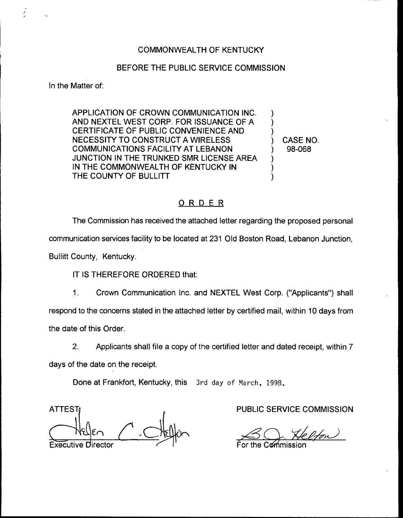## BEFORE THE PUBLIC SERVICE COMMISSION

In the Matter of:

APPLICATION OF CROWN COMMUNICATION INC. AND NEXTEL WEST CORP. FOR ISSUANCE OF A CERTIFICATE OF PUBLIC CONVENIENCE AND NECESSITY TO CONSTRUCT A WIRELESS COMMUNICATIONS FACILITY AT LEBANON JUNCTION IN THE TRUNKED SMR LICENSE AREA IN THE COMMONWEALTH OF KENTUCKY IN THE COUNTY OF BULLITT

) CASE NO. ) 98-068

) ) )

> ) ) )

## ORDER

The Commission has received the attached letter regarding the proposed personal communication services facility to be located at 231 Old Boston Road, Lebanon Junction, Bullitt County, Kentucky.

IT IS THEREFORE ORDERED that:

1. Crown Communication Inc. and NEXTEL West Corp. ("Applicants") sha respond to the concerns stated in the attached letter by certified mail, within 10 days from the date of this Order.

2. Applicants shall file a copy of the certified letter and dated receipt, within 7 days of the date on the receipt.

Done at Frankfort, Kentucky, this 3rd day of March, 1998.

ATTEST) **Executive** 

PUBLIC SERVICE COMMISSION<br>For the Commission  $SO_{1}$ 

For the Commission